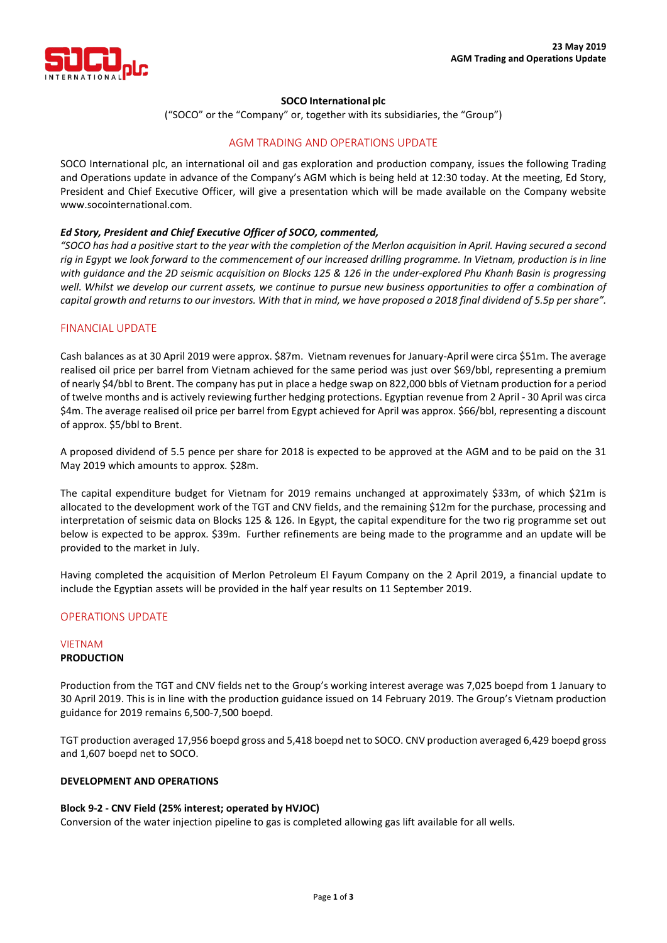

## **SOCO International plc**

("SOCO" or the "Company" or, together with its subsidiaries, the "Group")

# AGM TRADING AND OPERATIONS UPDATE

SOCO International plc, an international oil and gas exploration and production company, issues the following Trading and Operations update in advance of the Company's AGM which is being held at 12:30 today. At the meeting, Ed Story, President and Chief Executive Officer, will give a presentation which will be made available on the Company website www.socointernational.com.

## *Ed Story, President and Chief Executive Officer of SOCO, commented,*

*"SOCO has had a positive start to the year with the completion of the Merlon acquisition in April. Having secured a second rig in Egypt we look forward to the commencement of our increased drilling programme. In Vietnam, production is in line with guidance and the 2D seismic acquisition on Blocks 125 & 126 in the under-explored Phu Khanh Basin is progressing well. Whilst we develop our current assets, we continue to pursue new business opportunities to offer a combination of capital growth and returns to our investors. With that in mind, we have proposed a 2018 final dividend of 5.5p per share".*

# FINANCIAL UPDATE

Cash balances as at 30 April 2019 were approx. \$87m. Vietnam revenues for January-April were circa \$51m. The average realised oil price per barrel from Vietnam achieved for the same period was just over \$69/bbl, representing a premium of nearly \$4/bbl to Brent. The company has put in place a hedge swap on 822,000 bbls of Vietnam production for a period of twelve months and is actively reviewing further hedging protections. Egyptian revenue from 2 April - 30 April was circa \$4m. The average realised oil price per barrel from Egypt achieved for April was approx. \$66/bbl, representing a discount of approx. \$5/bbl to Brent.

A proposed dividend of 5.5 pence per share for 2018 is expected to be approved at the AGM and to be paid on the 31 May 2019 which amounts to approx. \$28m.

The capital expenditure budget for Vietnam for 2019 remains unchanged at approximately \$33m, of which \$21m is allocated to the development work of the TGT and CNV fields, and the remaining \$12m for the purchase, processing and interpretation of seismic data on Blocks 125 & 126. In Egypt, the capital expenditure for the two rig programme set out below is expected to be approx. \$39m. Further refinements are being made to the programme and an update will be provided to the market in July.

Having completed the acquisition of Merlon Petroleum El Fayum Company on the 2 April 2019, a financial update to include the Egyptian assets will be provided in the half year results on 11 September 2019.

# OPERATIONS UPDATE

## VIETNAM **PRODUCTION**

Production from the TGT and CNV fields net to the Group's working interest average was 7,025 boepd from 1 January to 30 April 2019. This is in line with the production guidance issued on 14 February 2019. The Group's Vietnam production guidance for 2019 remains 6,500-7,500 boepd.

TGT production averaged 17,956 boepd gross and 5,418 boepd net to SOCO. CNV production averaged 6,429 boepd gross and 1,607 boepd net to SOCO.

# **DEVELOPMENT AND OPERATIONS**

## **Block 9-2 - CNV Field (25% interest; operated by HVJOC)**

Conversion of the water injection pipeline to gas is completed allowing gas lift available for all wells.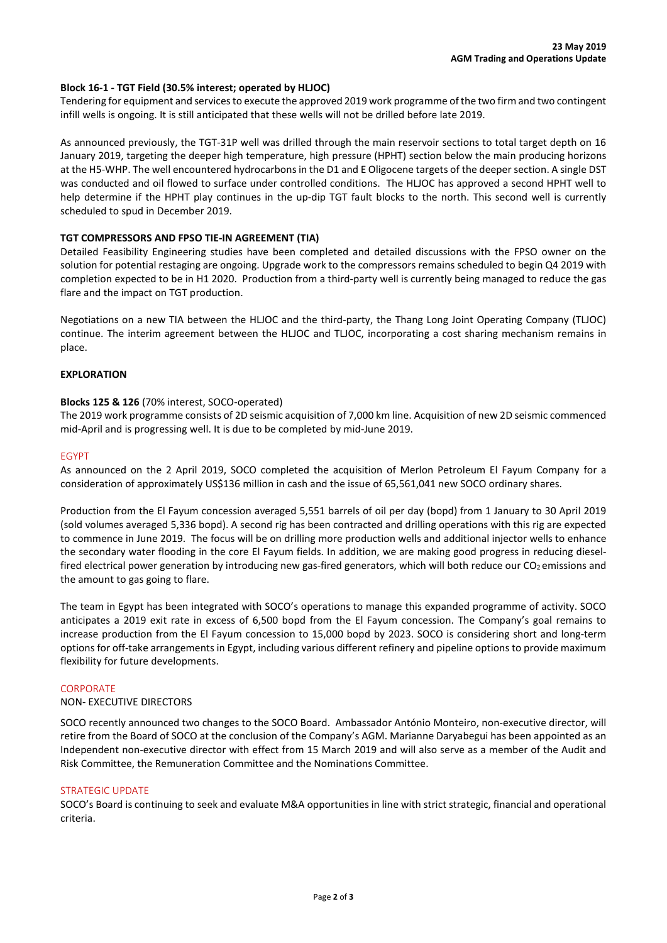## **Block 16-1 - TGT Field (30.5% interest; operated by HLJOC)**

Tendering for equipment and services to execute the approved 2019 work programme of the two firm and two contingent infill wells is ongoing. It is still anticipated that these wells will not be drilled before late 2019.

As announced previously, the TGT-31P well was drilled through the main reservoir sections to total target depth on 16 January 2019, targeting the deeper high temperature, high pressure (HPHT) section below the main producing horizons at the H5-WHP. The well encountered hydrocarbons in the D1 and E Oligocene targets of the deeper section. A single DST was conducted and oil flowed to surface under controlled conditions. The HLJOC has approved a second HPHT well to help determine if the HPHT play continues in the up-dip TGT fault blocks to the north. This second well is currently scheduled to spud in December 2019.

## **TGT COMPRESSORS AND FPSO TIE-IN AGREEMENT (TIA)**

Detailed Feasibility Engineering studies have been completed and detailed discussions with the FPSO owner on the solution for potential restaging are ongoing. Upgrade work to the compressors remains scheduled to begin Q4 2019 with completion expected to be in H1 2020. Production from a third-party well is currently being managed to reduce the gas flare and the impact on TGT production.

Negotiations on a new TIA between the HLJOC and the third-party, the Thang Long Joint Operating Company (TLJOC) continue. The interim agreement between the HLJOC and TLJOC, incorporating a cost sharing mechanism remains in place.

## **EXPLORATION**

## **Blocks 125 & 126** (70% interest, SOCO-operated)

The 2019 work programme consists of 2D seismic acquisition of 7,000 km line. Acquisition of new 2D seismic commenced mid-April and is progressing well. It is due to be completed by mid-June 2019.

## EGYPT

As announced on the 2 April 2019, SOCO completed the acquisition of Merlon Petroleum El Fayum Company for a consideration of approximately US\$136 million in cash and the issue of 65,561,041 new SOCO ordinary shares.

Production from the El Fayum concession averaged 5,551 barrels of oil per day (bopd) from 1 January to 30 April 2019 (sold volumes averaged 5,336 bopd). A second rig has been contracted and drilling operations with this rig are expected to commence in June 2019. The focus will be on drilling more production wells and additional injector wells to enhance the secondary water flooding in the core El Fayum fields. In addition, we are making good progress in reducing dieselfired electrical power generation by introducing new gas-fired generators, which will both reduce our  $CO<sub>2</sub>$  emissions and the amount to gas going to flare.

The team in Egypt has been integrated with SOCO's operations to manage this expanded programme of activity. SOCO anticipates a 2019 exit rate in excess of 6,500 bopd from the El Fayum concession. The Company's goal remains to increase production from the El Fayum concession to 15,000 bopd by 2023. SOCO is considering short and long-term options for off-take arrangements in Egypt, including various different refinery and pipeline options to provide maximum flexibility for future developments.

## **CORPORATE**

## NON- EXECUTIVE DIRECTORS

SOCO recently announced two changes to the SOCO Board. Ambassador António Monteiro, non-executive director, will retire from the Board of SOCO at the conclusion of the Company's AGM. Marianne Daryabegui has been appointed as an Independent non-executive director with effect from 15 March 2019 and will also serve as a member of the Audit and Risk Committee, the Remuneration Committee and the Nominations Committee.

## STRATEGIC UPDATE

SOCO's Board is continuing to seek and evaluate M&A opportunities in line with strict strategic, financial and operational criteria.